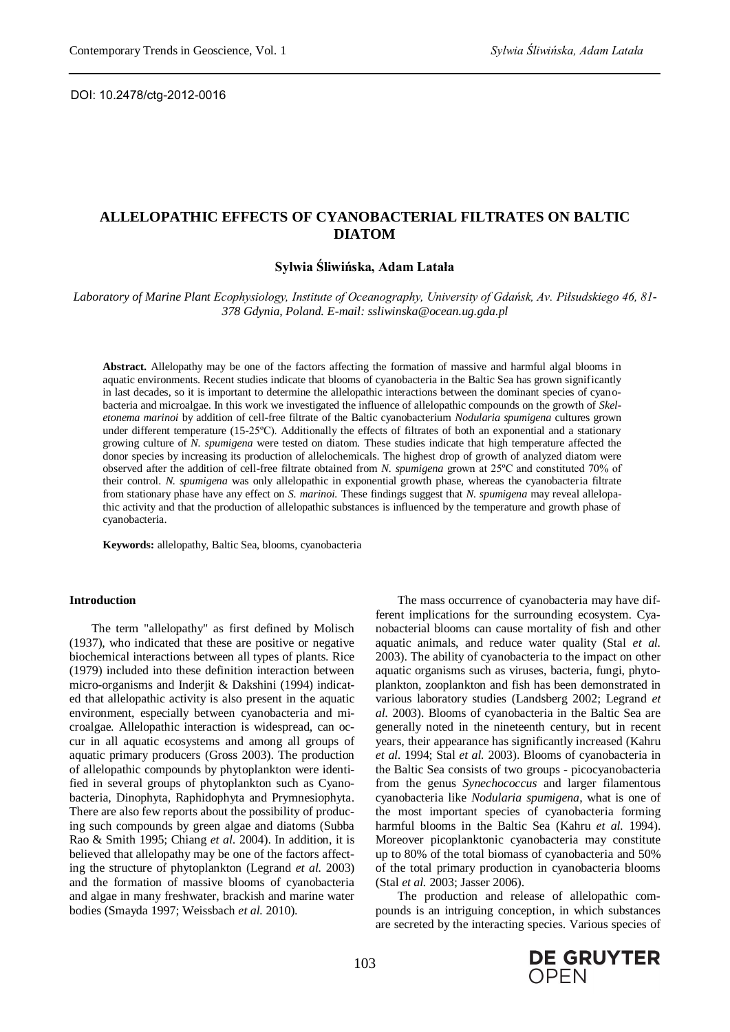DOI: 10.2478/ctg-2012-0016

# **ALLELOPATHIC EFFECTS OF CYANOBACTERIAL FILTRATES ON BALTIC DIATOM**

# **Sylwia Śliwińska, Adam Latała**

*Laboratory of Marine Plant Ecophysiology, Institute of Oceanography, University of Gdańsk, Av. Piłsudskiego 46, 81- 378 Gdynia, Poland. E-mail: ssliwinska@ocean.ug.gda.pl*

**Abstract.** Allelopathy may be one of the factors affecting the formation of massive and harmful algal blooms in aquatic environments. Recent studies indicate that blooms of cyanobacteria in the Baltic Sea has grown significantly in last decades, so it is important to determine the allelopathic interactions between the dominant species of cyanobacteria and microalgae. In this work we investigated the influence of allelopathic compounds on the growth of *Skeletonema marinoi* by addition of cell-free filtrate of the Baltic cyanobacterium *Nodularia spumigena* cultures grown under different temperature (15-25ºC). Additionally the effects of filtrates of both an exponential and a stationary growing culture of *N. spumigena* were tested on diatom*.* These studies indicate that high temperature affected the donor species by increasing its production of allelochemicals. The highest drop of growth of analyzed diatom were observed after the addition of cell-free filtrate obtained from *N. spumigena* grown at 25ºC and constituted 70% of their control. *N. spumigena* was only allelopathic in exponential growth phase, whereas the cyanobacteria filtrate from stationary phase have any effect on *S. marinoi.* These findings suggest that *N. spumigena* may reveal allelopathic activity and that the production of allelopathic substances is influenced by the temperature and growth phase of cyanobacteria.

**Keywords:** allelopathy, Baltic Sea, blooms, cyanobacteria

#### **Introduction**

The term "allelopathy" as first defined by Molisch (1937), who indicated that these are positive or negative biochemical interactions between all types of plants. Rice (1979) included into these definition interaction between micro-organisms and Inderjit & Dakshini (1994) indicated that allelopathic activity is also present in the aquatic environment, especially between cyanobacteria and microalgae. Allelopathic interaction is widespread, can occur in all aquatic ecosystems and among all groups of aquatic primary producers (Gross 2003). The production of allelopathic compounds by phytoplankton were identified in several groups of phytoplankton such as Cyanobacteria, Dinophyta, Raphidophyta and Prymnesiophyta. There are also few reports about the possibility of producing such compounds by green algae and diatoms (Subba Rao & Smith 1995; Chiang *et al*. 2004). In addition, it is believed that allelopathy may be one of the factors affecting the structure of phytoplankton (Legrand *et al.* 2003) and the formation of massive blooms of cyanobacteria and algae in many freshwater, brackish and marine water bodies (Smayda 1997; Weissbach *et al.* 2010).

The mass occurrence of cyanobacteria may have different implications for the surrounding ecosystem. Cyanobacterial blooms can cause mortality of fish and other aquatic animals, and reduce water quality (Stal *et al.* 2003). The ability of cyanobacteria to the impact on other aquatic organisms such as viruses, bacteria, fungi, phytoplankton, zooplankton and fish has been demonstrated in various laboratory studies (Landsberg 2002; Legrand *et al.* 2003). Blooms of cyanobacteria in the Baltic Sea are generally noted in the nineteenth century, but in recent years, their appearance has significantly increased (Kahru *et al.* 1994; Stal *et al.* 2003). Blooms of cyanobacteria in the Baltic Sea consists of two groups - picocyanobacteria from the genus *Synechococcus* and larger filamentous cyanobacteria like *Nodularia spumigena*, what is one of the most important species of cyanobacteria forming harmful blooms in the Baltic Sea (Kahru *et al.* 1994). Moreover picoplanktonic cyanobacteria may constitute up to 80% of the total biomass of cyanobacteria and 50% of the total primary production in cyanobacteria blooms (Stal *et al.* 2003; Jasser 2006).

The production and release of allelopathic compounds is an intriguing conception, in which substances are secreted by the interacting species. Various species of

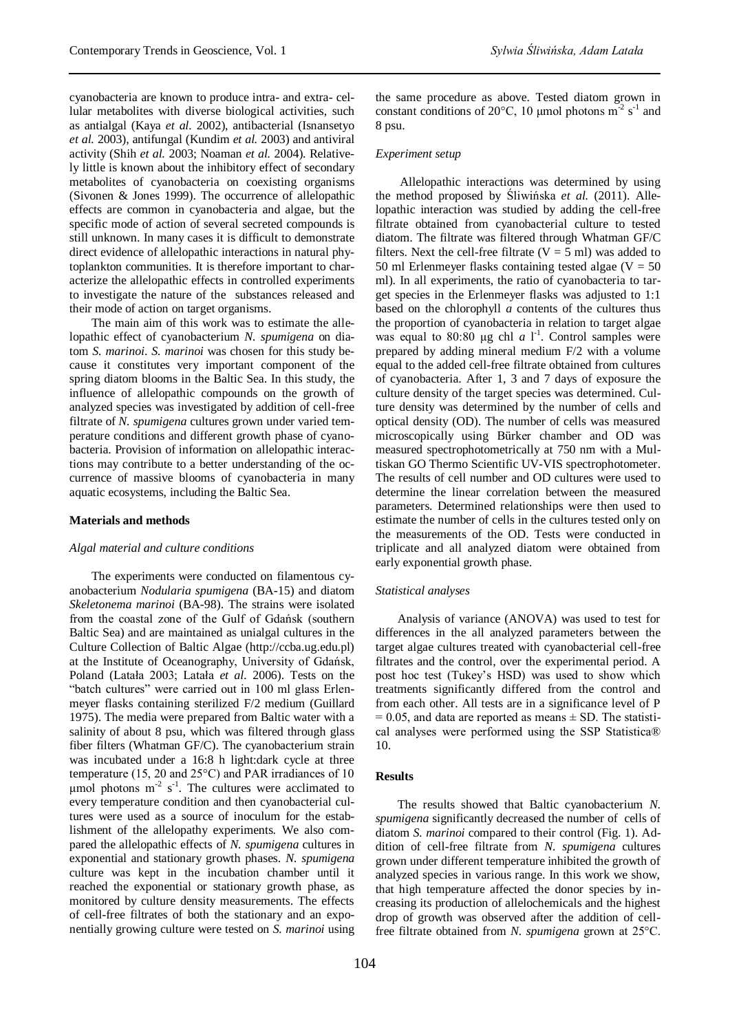cyanobacteria are known to produce intra- and extra- cellular metabolites with diverse biological activities, such as antialgal (Kaya *et al.* 2002), antibacterial (Isnansetyo *et al.* 2003), antifungal (Kundim *et al.* 2003) and antiviral activity (Shih *et al.* 2003; Noaman *et al.* 2004). Relatively little is known about the inhibitory effect of secondary metabolites of cyanobacteria on coexisting organisms (Sivonen & Jones 1999). The occurrence of allelopathic effects are common in cyanobacteria and algae, but the specific mode of action of several secreted compounds is still unknown. In many cases it is difficult to demonstrate direct evidence of allelopathic interactions in natural phytoplankton communities. It is therefore important to characterize the allelopathic effects in controlled experiments to investigate the nature of the substances released and their mode of action on target organisms.

The main aim of this work was to estimate the allelopathic effect of cyanobacterium *N. spumigena* on diatom *S. marinoi*. *S. marinoi* was chosen for this study because it constitutes very important component of the spring diatom blooms in the Baltic Sea. In this study, the influence of allelopathic compounds on the growth of analyzed species was investigated by addition of cell-free filtrate of *N. spumigena* cultures grown under varied temperature conditions and different growth phase of cyanobacteria. Provision of information on allelopathic interactions may contribute to a better understanding of the occurrence of massive blooms of cyanobacteria in many aquatic ecosystems, including the Baltic Sea.

## **Materials and methods**

#### *Algal material and culture conditions*

The experiments were conducted on filamentous cyanobacterium *Nodularia spumigena* (BA-15) and diatom *Skeletonema marinoi* (BA-98). The strains were isolated from the coastal zone of the Gulf of Gdańsk (southern Baltic Sea) and are maintained as unialgal cultures in the Culture Collection of Baltic Algae (http://ccba.ug.edu.pl) at the Institute of Oceanography, University of Gdańsk, Poland (Latała 2003; Latała *et al.* 2006). Tests on the "batch cultures" were carried out in 100 ml glass Erlenmeyer flasks containing sterilized F/2 medium (Guillard 1975). The media were prepared from Baltic water with a salinity of about 8 psu, which was filtered through glass fiber filters (Whatman GF/C). The cyanobacterium strain was incubated under a 16:8 h light:dark cycle at three temperature (15, 20 and 25°C) and PAR irradiances of 10 μmol photons  $m<sup>-2</sup>$  s<sup>-1</sup>. The cultures were acclimated to every temperature condition and then cyanobacterial cultures were used as a source of inoculum for the establishment of the allelopathy experiments. We also compared the allelopathic effects of *N. spumigena* cultures in exponential and stationary growth phases. *N. spumigena* culture was kept in the incubation chamber until it reached the exponential or stationary growth phase, as monitored by culture density measurements. The effects of cell-free filtrates of both the stationary and an exponentially growing culture were tested on *S. marinoi* using

the same procedure as above. Tested diatom grown in constant conditions of 20 $^{\circ}$ C, 10 µmol photons m<sup>-2</sup> s<sup>-1</sup> and 8 psu.

# *Experiment setup*

Allelopathic interactions was determined by using the method proposed by Śliwińska *et al.* (2011). Allelopathic interaction was studied by adding the cell-free filtrate obtained from cyanobacterial culture to tested diatom. The filtrate was filtered through Whatman GF/C filters. Next the cell-free filtrate  $(V = 5$  ml) was added to 50 ml Erlenmeyer flasks containing tested algae ( $V = 50$ ) ml). In all experiments, the ratio of cyanobacteria to target species in the Erlenmeyer flasks was adjusted to 1:1 based on the chlorophyll *a* contents of the cultures thus the proportion of cyanobacteria in relation to target algae was equal to  $80:80 \mu g$  chl *a* l<sup>-1</sup>. Control samples were prepared by adding mineral medium F/2 with a volume equal to the added cell-free filtrate obtained from cultures of cyanobacteria. After 1, 3 and 7 days of exposure the culture density of the target species was determined. Culture density was determined by the number of cells and optical density (OD). The number of cells was measured microscopically using Bürker chamber and OD was measured spectrophotometrically at 750 nm with a Multiskan GO Thermo Scientific UV-VIS spectrophotometer. The results of cell number and OD cultures were used to determine the linear correlation between the measured parameters. Determined relationships were then used to estimate the number of cells in the cultures tested only on the measurements of the OD. Tests were conducted in triplicate and all analyzed diatom were obtained from early exponential growth phase.

#### *Statistical analyses*

Analysis of variance (ANOVA) was used to test for differences in the all analyzed parameters between the target algae cultures treated with cyanobacterial cell-free filtrates and the control, over the experimental period. A post hoc test (Tukey's HSD) was used to show which treatments significantly differed from the control and from each other. All tests are in a significance level of P  $= 0.05$ , and data are reported as means  $\pm$  SD. The statistical analyses were performed using the SSP Statistica® 10.

# **Results**

The results showed that Baltic cyanobacterium *N. spumigena* significantly decreased the number of cells of diatom *S. marinoi* compared to their control (Fig. 1). Addition of cell-free filtrate from *N. spumigena* cultures grown under different temperature inhibited the growth of analyzed species in various range. In this work we show, that high temperature affected the donor species by increasing its production of allelochemicals and the highest drop of growth was observed after the addition of cellfree filtrate obtained from *N. spumigena* grown at 25°C.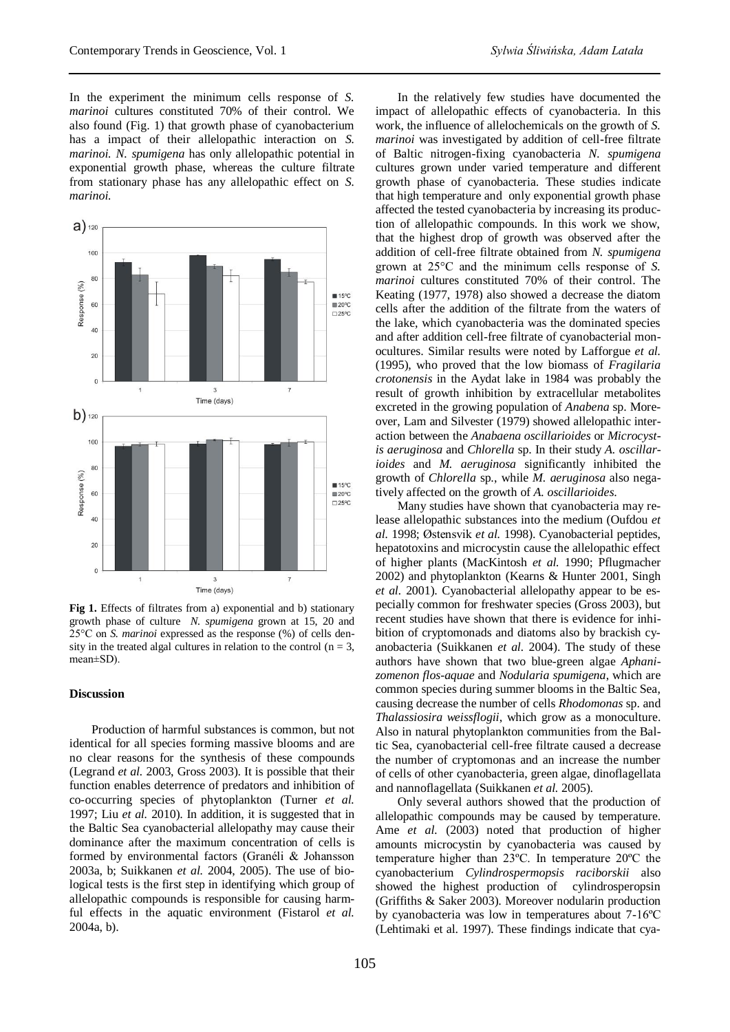In the experiment the minimum cells response of *S. marinoi* cultures constituted 70% of their control. We also found (Fig. 1) that growth phase of cyanobacterium has a impact of their allelopathic interaction on *S. marinoi. N. spumigena* has only allelopathic potential in exponential growth phase, whereas the culture filtrate from stationary phase has any allelopathic effect on *S. marinoi.*



**Fig 1.** Effects of filtrates from a) exponential and b) stationary growth phase of culture *N. spumigena* grown at 15, 20 and 25°C on *S. marinoi* expressed as the response (%) of cells density in the treated algal cultures in relation to the control ( $n = 3$ , mean±SD).

# **Discussion**

Production of harmful substances is common, but not identical for all species forming massive blooms and are no clear reasons for the synthesis of these compounds (Legrand *et al.* 2003, Gross 2003). It is possible that their function enables deterrence of predators and inhibition of co-occurring species of phytoplankton (Turner *et al.* 1997; Liu *et al.* 2010). In addition, it is suggested that in the Baltic Sea cyanobacterial allelopathy may cause their dominance after the maximum concentration of cells is formed by environmental factors (Granéli & Johansson 2003a, b; Suikkanen *et al.* 2004, 2005). The use of biological tests is the first step in identifying which group of allelopathic compounds is responsible for causing harmful effects in the aquatic environment (Fistarol *et al.* 2004a, b).

In the relatively few studies have documented the impact of allelopathic effects of cyanobacteria. In this work, the influence of allelochemicals on the growth of *S. marinoi* was investigated by addition of cell-free filtrate of Baltic nitrogen-fixing cyanobacteria *N. spumigena* cultures grown under varied temperature and different growth phase of cyanobacteria. These studies indicate that high temperature and only exponential growth phase affected the tested cyanobacteria by increasing its production of allelopathic compounds. In this work we show, that the highest drop of growth was observed after the addition of cell-free filtrate obtained from *N. spumigena* grown at 25°C and the minimum cells response of *S. marinoi* cultures constituted 70% of their control. The Keating (1977, 1978) also showed a decrease the diatom cells after the addition of the filtrate from the waters of the lake, which cyanobacteria was the dominated species and after addition cell-free filtrate of cyanobacterial monocultures. Similar results were noted by Lafforgue *et al.* (1995), who proved that the low biomass of *Fragilaria crotonensis* in the Aydat lake in 1984 was probably the result of growth inhibition by extracellular metabolites excreted in the growing population of *Anabena* sp. Moreover, Lam and Silvester (1979) showed allelopathic interaction between the *Anabaena oscillarioides* or *Microcystis aeruginosa* and *Chlorella* sp. In their study *A. oscillarioides* and *M. aeruginosa* significantly inhibited the growth of *Chlorella* sp., while *M. aeruginosa* also negatively affected on the growth of *A. oscillarioides*.

Many studies have shown that cyanobacteria may release allelopathic substances into the medium (Oufdou *et al.* 1998; Østensvik *et al.* 1998). Cyanobacterial peptides, hepatotoxins and microcystin cause the allelopathic effect of higher plants (MacKintosh *et al.* 1990; Pflugmacher 2002) and phytoplankton (Kearns & Hunter 2001, Singh *et al.* 2001). Cyanobacterial allelopathy appear to be especially common for freshwater species (Gross 2003), but recent studies have shown that there is evidence for inhibition of cryptomonads and diatoms also by brackish cyanobacteria (Suikkanen *et al.* 2004). The study of these authors have shown that two blue-green algae *Aphanizomenon flos-aquae* and *Nodularia spumigena*, which are common species during summer blooms in the Baltic Sea, causing decrease the number of cells *Rhodomonas* sp. and *Thalassiosira weissflogii*, which grow as a monoculture. Also in natural phytoplankton communities from the Baltic Sea, cyanobacterial cell-free filtrate caused a decrease the number of cryptomonas and an increase the number of cells of other cyanobacteria, green algae, dinoflagellata and nannoflagellata (Suikkanen *et al.* 2005).

Only several authors showed that the production of allelopathic compounds may be caused by temperature. Ame *et al.* (2003) noted that production of higher amounts microcystin by cyanobacteria was caused by temperature higher than 23ºC. In temperature 20ºC the cyanobacterium *Cylindrospermopsis raciborskii* also showed the highest production of cylindrosperopsin (Griffiths & Saker 2003). Moreover nodularin production by cyanobacteria was low in temperatures about 7-16ºC (Lehtimaki et al. 1997). These findings indicate that cya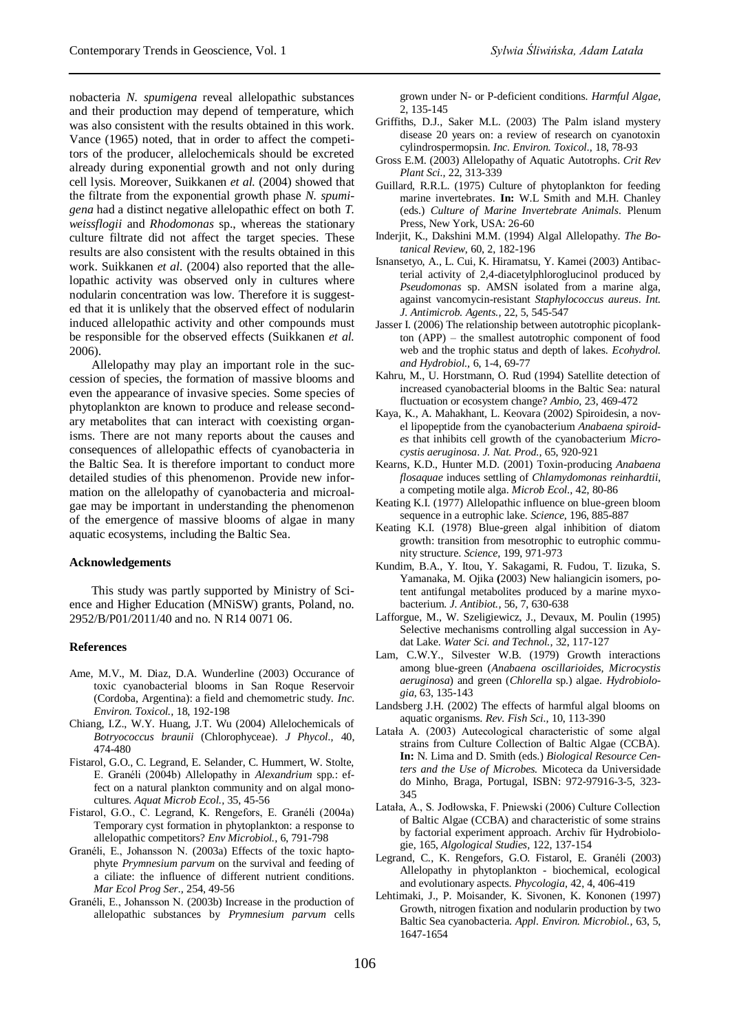nobacteria *N. spumigena* reveal allelopathic substances and their production may depend of temperature, which was also consistent with the results obtained in this work. Vance (1965) noted, that in order to affect the competitors of the producer, allelochemicals should be excreted already during exponential growth and not only during cell lysis. Moreover, Suikkanen *et al.* (2004) showed that the filtrate from the exponential growth phase *N. spumigena* had a distinct negative allelopathic effect on both *T. weissflogii* and *Rhodomonas* sp., whereas the stationary culture filtrate did not affect the target species. These results are also consistent with the results obtained in this work. Suikkanen *et al.* (2004) also reported that the allelopathic activity was observed only in cultures where nodularin concentration was low. Therefore it is suggested that it is unlikely that the observed effect of nodularin induced allelopathic activity and other compounds must be responsible for the observed effects (Suikkanen *et al.* 2006).

Allelopathy may play an important role in the succession of species, the formation of massive blooms and even the appearance of invasive species. Some species of phytoplankton are known to produce and release secondary metabolites that can interact with coexisting organisms. There are not many reports about the causes and consequences of allelopathic effects of cyanobacteria in the Baltic Sea. It is therefore important to conduct more detailed studies of this phenomenon. Provide new information on the allelopathy of cyanobacteria and microalgae may be important in understanding the phenomenon of the emergence of massive blooms of algae in many aquatic ecosystems, including the Baltic Sea.

## **Acknowledgements**

This study was partly supported by Ministry of Science and Higher Education (MNiSW) grants, Poland, no. 2952/B/P01/2011/40 and no. N R14 0071 06.

## **References**

- Ame, M.V., M. Diaz, D.A. Wunderline (2003) Occurance of toxic cyanobacterial blooms in San Roque Reservoir (Cordoba, Argentina): a field and chemometric study. *Inc. Environ. Toxicol.,* 18, 192-198
- Chiang, I.Z., W.Y. Huang, J.T. Wu (2004) Allelochemicals of *Botryococcus braunii* (Chlorophyceae). *J Phycol.,* 40, 474-480
- Fistarol, G.O., C. Legrand, E. Selander, C. Hummert, W. Stolte, E. Granéli (2004b) Allelopathy in *Alexandrium* spp.: effect on a natural plankton community and on algal monocultures. *Aquat Microb Ecol.,* 35, 45-56
- Fistarol, G.O., C. Legrand, K. Rengefors, E. Granéli (2004a) Temporary cyst formation in phytoplankton: a response to allelopathic competitors? *Env Microbiol.,* 6, 791-798
- Granéli, E., Johansson N. (2003a) Effects of the toxic haptophyte *Prymnesium parvum* on the survival and feeding of a ciliate: the influence of different nutrient conditions. *Mar Ecol Prog Ser.,* 254, 49-56
- Granéli, E., Johansson N. (2003b) Increase in the production of allelopathic substances by *Prymnesium parvum* cells

grown under N- or P-deficient conditions. *Harmful Algae,* 2, 135-145

- Griffiths, D.J., Saker M.L. (2003) The Palm island mystery disease 20 years on: a review of research on cyanotoxin cylindrospermopsin. *Inc. Environ. Toxicol.,* 18, 78-93
- Gross E.M. (2003) Allelopathy of Aquatic Autotrophs. *Crit Rev Plant Sci.,* 22, 313-339
- Guillard, R.R.L. (1975) Culture of phytoplankton for feeding marine invertebrates. **In:** W.L Smith and M.H. Chanley (eds.) *Culture of Marine Invertebrate Animals*. Plenum Press, New York, USA: 26-60
- Inderjit, K., Dakshini M.M. (1994) Algal Allelopathy. *The Botanical Review*, 60, 2, 182-196
- Isnansetyo, A., L. Cui, K. Hiramatsu, Y. Kamei (2003) Antibacterial activity of 2,4-diacetylphloroglucinol produced by *Pseudomonas* sp. AMSN isolated from a marine alga, against vancomycin-resistant *Staphylococcus aureus*. *Int. J. Antimicrob. Agents.,* 22, 5, 545-547
- Jasser I. (2006) The relationship between autotrophic picoplankton (APP) – the smallest autotrophic component of food web and the trophic status and depth of lakes. *Ecohydrol. and Hydrobiol.,* 6, 1-4, 69-77
- Kahru, M., U. Horstmann, O. Rud (1994) Satellite detection of increased cyanobacterial blooms in the Baltic Sea: natural fluctuation or ecosystem change? *Ambio,* 23, 469-472
- Kaya, K., A. Mahakhant, L. Keovara (2002) Spiroidesin, a novel lipopeptide from the cyanobacterium *Anabaena spiroides* that inhibits cell growth of the cyanobacterium *Microcystis aeruginosa*. *J. Nat. Prod.,* 65, 920-921
- Kearns, K.D., Hunter M.D. (2001) Toxin-producing *Anabaena flosaquae* induces settling of *Chlamydomonas reinhardtii*, a competing motile alga. *Microb Ecol.,* 42, 80-86
- Keating K.I. (1977) Allelopathic influence on blue-green bloom sequence in a eutrophic lake. *Science,* 196, 885-887
- Keating K.I. (1978) Blue-green algal inhibition of diatom growth: transition from mesotrophic to eutrophic community structure. *Science,* 199, 971-973
- Kundim, B.A., Y. Itou, Y. Sakagami, R. Fudou, T. Iizuka, S. Yamanaka, M. Ojika **(**2003) New haliangicin isomers, potent antifungal metabolites produced by a marine myxobacterium. *J. Antibiot.,* 56, 7, 630-638
- Lafforgue, M., W. Szeligiewicz, J., Devaux, M. Poulin (1995) Selective mechanisms controlling algal succession in Aydat Lake. *Water Sci. and Technol.,* 32, 117-127
- Lam, C.W.Y., Silvester W.B. (1979) Growth interactions among blue-green (*Anabaena oscillarioides, Microcystis aeruginosa*) and green (*Chlorella* sp.) algae. *Hydrobiologia,* 63, 135-143
- Landsberg J.H. (2002) The effects of harmful algal blooms on aquatic organisms. *Rev. Fish Sci.,* 10, 113-390
- Latała A. (2003) Autecological characteristic of some algal strains from Culture Collection of Baltic Algae (CCBA). **In:** N. Lima and D. Smith (eds.) *Biological Resource Centers and the Use of Microbes.* Micoteca da Universidade do Minho, Braga, Portugal, ISBN: 972-97916-3-5, 323- 345
- Latała, A., S. Jodłowska, F. Pniewski (2006) Culture Collection of Baltic Algae (CCBA) and characteristic of some strains by factorial experiment approach. Archiv für Hydrobiologie, 165, *Algological Studies,* 122, 137-154
- Legrand, C., K. Rengefors, G.O. Fistarol, E. Granéli (2003) Allelopathy in phytoplankton - biochemical, ecological and evolutionary aspects. *Phycologia,* 42, 4, 406-419
- Lehtimaki, J., P. Moisander, K. Sivonen, K. Kononen (1997) Growth, nitrogen fixation and nodularin production by two Baltic Sea cyanobacteria. *Appl. Environ. Microbiol.,* 63, 5, 1647-1654